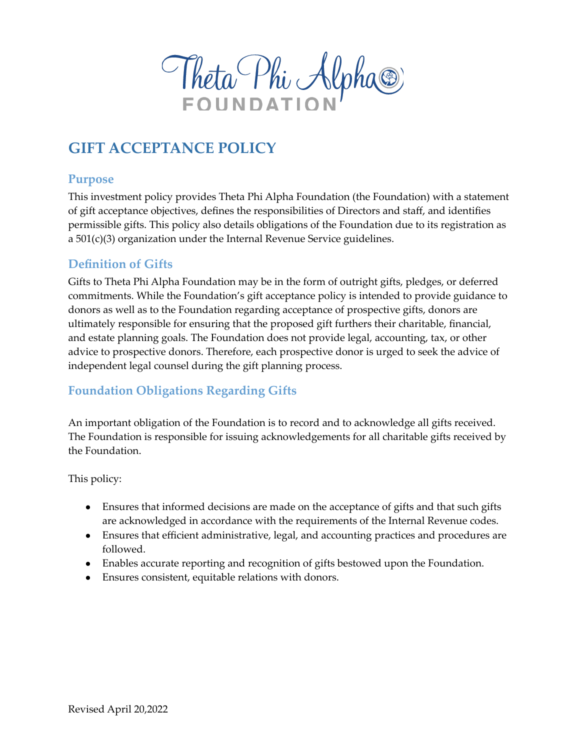Theta Phi Alpha®

# **GIFT ACCEPTANCE POLICY**

#### **Purpose**

This investment policy provides Theta Phi Alpha Foundation (the Foundation) with a statement of gift acceptance objectives, defines the responsibilities of Directors and staff, and identifies permissible gifts. This policy also details obligations of the Foundation due to its registration as a 501(c)(3) organization under the Internal Revenue Service guidelines.

#### **Definition of Gifts**

Gifts to Theta Phi Alpha Foundation may be in the form of outright gifts, pledges, or deferred commitments. While the Foundation's gift acceptance policy is intended to provide guidance to donors as well as to the Foundation regarding acceptance of prospective gifts, donors are ultimately responsible for ensuring that the proposed gift furthers their charitable, financial, and estate planning goals. The Foundation does not provide legal, accounting, tax, or other advice to prospective donors. Therefore, each prospective donor is urged to seek the advice of independent legal counsel during the gift planning process.

#### **Foundation Obligations Regarding Gifts**

An important obligation of the Foundation is to record and to acknowledge all gifts received. The Foundation is responsible for issuing acknowledgements for all charitable gifts received by the Foundation.

This policy:

- Ensures that informed decisions are made on the acceptance of gifts and that such gifts are acknowledged in accordance with the requirements of the Internal Revenue codes.
- Ensures that efficient administrative, legal, and accounting practices and procedures are followed.
- Enables accurate reporting and recognition of gifts bestowed upon the Foundation.
- Ensures consistent, equitable relations with donors.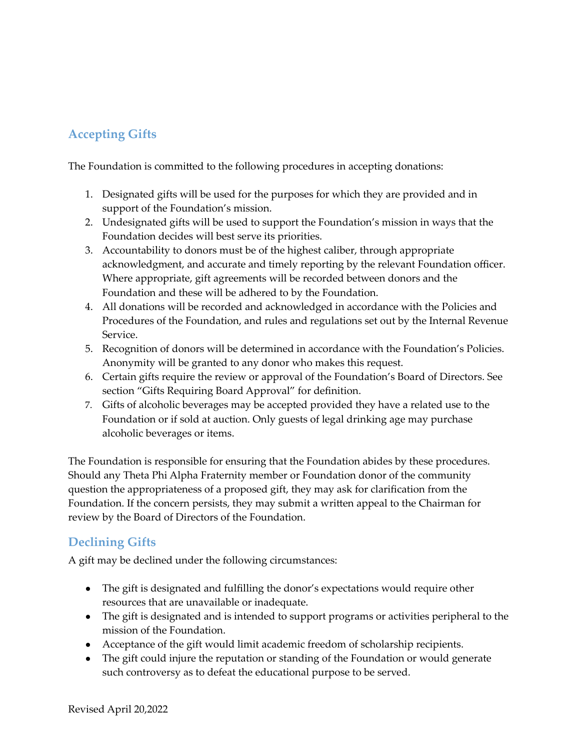## **Accepting Gifts**

The Foundation is committed to the following procedures in accepting donations:

- 1. Designated gifts will be used for the purposes for which they are provided and in support of the Foundation's mission.
- 2. Undesignated gifts will be used to support the Foundation's mission in ways that the Foundation decides will best serve its priorities.
- 3. Accountability to donors must be of the highest caliber, through appropriate acknowledgment, and accurate and timely reporting by the relevant Foundation officer. Where appropriate, gift agreements will be recorded between donors and the Foundation and these will be adhered to by the Foundation.
- 4. All donations will be recorded and acknowledged in accordance with the Policies and Procedures of the Foundation, and rules and regulations set out by the Internal Revenue Service.
- 5. Recognition of donors will be determined in accordance with the Foundation's Policies. Anonymity will be granted to any donor who makes this request.
- 6. Certain gifts require the review or approval of the Foundation's Board of Directors. See section "Gifts Requiring Board Approval" for definition.
- 7. Gifts of alcoholic beverages may be accepted provided they have a related use to the Foundation or if sold at auction. Only guests of legal drinking age may purchase alcoholic beverages or items.

The Foundation is responsible for ensuring that the Foundation abides by these procedures. Should any Theta Phi Alpha Fraternity member or Foundation donor of the community question the appropriateness of a proposed gift, they may ask for clarification from the Foundation. If the concern persists, they may submit a written appeal to the Chairman for review by the Board of Directors of the Foundation.

## **Declining Gifts**

A gift may be declined under the following circumstances:

- The gift is designated and fulfilling the donor's expectations would require other resources that are unavailable or inadequate.
- The gift is designated and is intended to support programs or activities peripheral to the mission of the Foundation.
- Acceptance of the gift would limit academic freedom of scholarship recipients.
- The gift could injure the reputation or standing of the Foundation or would generate such controversy as to defeat the educational purpose to be served.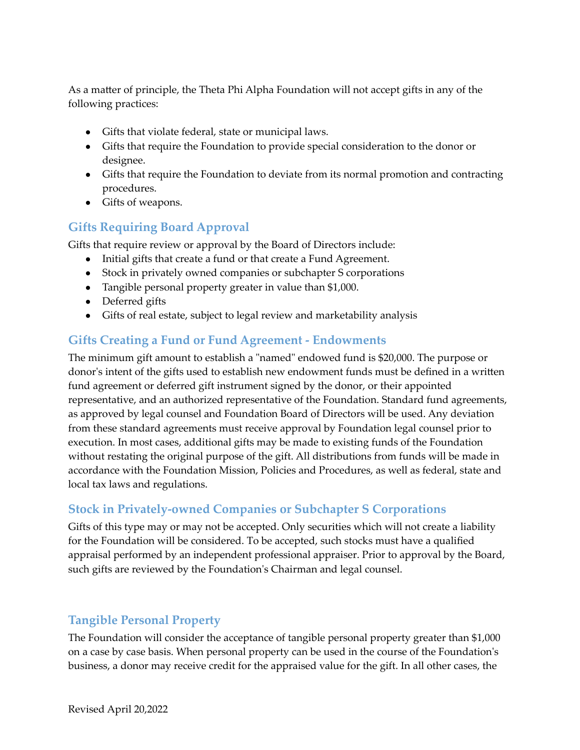As a matter of principle, the Theta Phi Alpha Foundation will not accept gifts in any of the following practices:

- Gifts that violate federal, state or municipal laws.
- Gifts that require the Foundation to provide special consideration to the donor or designee.
- Gifts that require the Foundation to deviate from its normal promotion and contracting procedures.
- Gifts of weapons.

## **Gifts Requiring Board Approval**

Gifts that require review or approval by the Board of Directors include:

- Initial gifts that create a fund or that create a Fund Agreement.
- Stock in privately owned companies or subchapter S corporations
- Tangible personal property greater in value than \$1,000.
- Deferred gifts
- Gifts of real estate, subject to legal review and marketability analysis

#### **Gifts Creating a Fund or Fund Agreement - Endowments**

The minimum gift amount to establish a "named" endowed fund is \$20,000. The purpose or donor's intent of the gifts used to establish new endowment funds must be defined in a written fund agreement or deferred gift instrument signed by the donor, or their appointed representative, and an authorized representative of the Foundation. Standard fund agreements, as approved by legal counsel and Foundation Board of Directors will be used. Any deviation from these standard agreements must receive approval by Foundation legal counsel prior to execution. In most cases, additional gifts may be made to existing funds of the Foundation without restating the original purpose of the gift. All distributions from funds will be made in accordance with the Foundation Mission, Policies and Procedures, as well as federal, state and local tax laws and regulations.

## **Stock in Privately-owned Companies or Subchapter S Corporations**

Gifts of this type may or may not be accepted. Only securities which will not create a liability for the Foundation will be considered. To be accepted, such stocks must have a qualified appraisal performed by an independent professional appraiser. Prior to approval by the Board, such gifts are reviewed by the Foundation's Chairman and legal counsel.

## **Tangible Personal Property**

The Foundation will consider the acceptance of tangible personal property greater than \$1,000 on a case by case basis. When personal property can be used in the course of the Foundation's business, a donor may receive credit for the appraised value for the gift. In all other cases, the